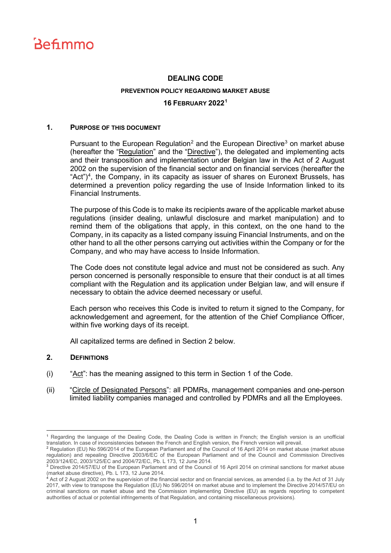

# **DEALING CODE PREVENTION POLICY REGARDING MARKET ABUSE 16 FEBRUARY 2022[1](#page-0-0)**

#### **1. PURPOSE OF THIS DOCUMENT**

Pursuant to the European Regulation<sup>[2](#page-0-1)</sup> and the European Directive<sup>[3](#page-0-2)</sup> on market abuse (hereafter the "Regulation" and the "Directive"), the delegated and implementing acts and their transposition and implementation under Belgian law in the Act of 2 August 2002 on the supervision of the financial sector and on financial services (hereafter the "Act") $4$ , the Company, in its capacity as issuer of shares on Euronext Brussels, has determined a prevention policy regarding the use of Inside Information linked to its Financial Instruments.

The purpose of this Code is to make its recipients aware of the applicable market abuse regulations (insider dealing, unlawful disclosure and market manipulation) and to remind them of the obligations that apply, in this context, on the one hand to the Company, in its capacity as a listed company issuing Financial Instruments, and on the other hand to all the other persons carrying out activities within the Company or for the Company, and who may have access to Inside Information.

The Code does not constitute legal advice and must not be considered as such. Any person concerned is personally responsible to ensure that their conduct is at all times compliant with the Regulation and its application under Belgian law, and will ensure if necessary to obtain the advice deemed necessary or useful.

Each person who receives this Code is invited to return it signed to the Company, for acknowledgement and agreement, for the attention of the Chief Compliance Officer, within five working days of its receipt.

All capitalized terms are defined in Section 2 below.

#### **2. DEFINITIONS**

- (i) "Act": has the meaning assigned to this term in Section 1 of the Code.
- (ii) "Circle of Designated Persons": all PDMRs, management companies and one-person limited liability companies managed and controlled by PDMRs and all the Employees.

<span id="page-0-0"></span><sup>1</sup> Regarding the language of the Dealing Code, the Dealing Code is written in French; the English version is an unofficial translation. In case of inconsistencies between the French and English version, the French version will prevail.

<span id="page-0-1"></span><sup>&</sup>lt;sup>2</sup> Regulation (EU) No 596/2014 of the European Parliament and of the Council of 16 April 2014 on market abuse (market abuse regulation) and repealing Directive 2003/6/EC of the European Parliament and of the Council and Commission Directives<br>2003/124/EC, 2003/125/EC and 2004/72/EC, Pb. L 173, 12 June 2014.

<span id="page-0-2"></span><sup>&</sup>lt;sup>3</sup> Directive 2014/57/EU of the European Parliament and of the Council of 16 April 2014 on criminal sanctions for market abuse (market abuse directive), Pb. L 173, 12 June 2014.

<span id="page-0-3"></span><sup>4</sup> Act of 2 August 2002 on the supervision of the financial sector and on financial services, as amended (i.a. by the Act of 31 July 2017, with view to transpose the Regulation (EU) No 596/2014 on market abuse and to implement the Directive 2014/57/EU on criminal sanctions on market abuse and the Commission implementing Directive (EU) as regards reporting to competent authorities of actual or potential infringements of that Regulation, and containing miscellaneous provisions).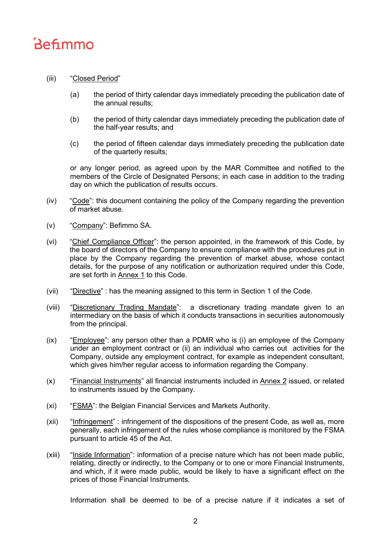# **Befimmo**

# (iii) "Closed Period"

- (a) the period of thirty calendar days immediately preceding the publication date of the annual results;
- (b) the period of thirty calendar days immediately preceding the publication date of the half-year results; and
- (c) the period of fifteen calendar days immediately preceding the publication date of the quarterly results;

or any longer period, as agreed upon by the MAR Committee and notified to the members of the Circle of Designated Persons; in each case in addition to the trading day on which the publication of results occurs.

- (iv) "Code": this document containing the policy of the Company regarding the prevention of market abuse.
- (v) "Company": Befimmo SA.
- (vi) "Chief Compliance Officer": the person appointed, in the framework of this Code, by the board of directors of the Company to ensure compliance with the procedures put in place by the Company regarding the prevention of market abuse, whose contact details, for the purpose of any notification or authorization required under this Code, are set forth in Annex 1 to this Code.
- (vii) "Directive" : has the meaning assigned to this term in Section 1 of the Code.
- (viii) "Discretionary Trading Mandate": a discretionary trading mandate given to an intermediary on the basis of which it conducts transactions in securities autonomously from the principal.
- (ix) "Employee": any person other than a PDMR who is (i) an employee of the Company under an employment contract or (ii) an individual who carries out activities for the Company, outside any employment contract, for example as independent consultant, which gives him/her regular access to information regarding the Company.
- (x) "Financial Instruments" all financial instruments included in Annex 2 issued, or related to instruments issued by the Company.
- (xi) "FSMA": the Belgian Financial Services and Markets Authority.
- (xii) "Infringement" : infringement of the dispositions of the present Code, as well as, more generally, each infringement of the rules whose compliance is monitored by the FSMA pursuant to article 45 of the Act.
- (xiii) "Inside Information": information of a precise nature which has not been made public, relating, directly or indirectly, to the Company or to one or more Financial Instruments, and which, if it were made public, would be likely to have a significant effect on the prices of those Financial Instruments.

Information shall be deemed to be of a precise nature if it indicates a set of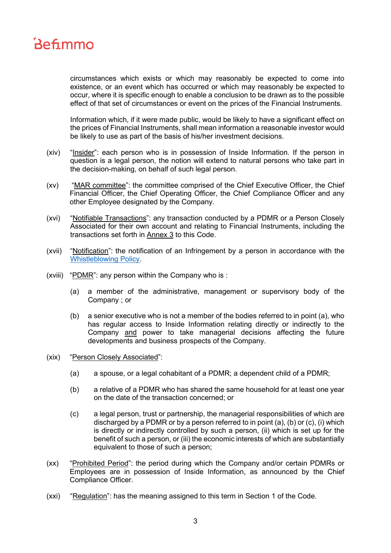

circumstances which exists or which may reasonably be expected to come into existence, or an event which has occurred or which may reasonably be expected to occur, where it is specific enough to enable a conclusion to be drawn as to the possible effect of that set of circumstances or event on the prices of the Financial Instruments.

Information which, if it were made public, would be likely to have a significant effect on the prices of Financial Instruments, shall mean information a reasonable investor would be likely to use as part of the basis of his/her investment decisions.

- (xiv) "Insider": each person who is in possession of Inside Information. If the person in question is a legal person, the notion will extend to natural persons who take part in the decision-making, on behalf of such legal person.
- (xv) "MAR committee": the committee comprised of the Chief Executive Officer, the Chief Financial Officer, the Chief Operating Officer, the Chief Compliance Officer and any other Employee designated by the Company.
- (xvi) "Notifiable Transactions": any transaction conducted by a PDMR or a Person Closely Associated for their own account and relating to Financial Instruments, including the transactions set forth in Annex 3 to this Code.
- (xvii) "Notification": the notification of an Infringement by a person in accordance with the [Whistleblowing Policy.](https://www.befimmo.be/sites/default/files/gbl_quicklinks/2022.02.16_whistleblowing_policy_eng_final.pdf)
- (xviii) "PDMR": any person within the Company who is :
	- (a) a member of the administrative, management or supervisory body of the Company ; or
	- (b) a senior executive who is not a member of the bodies referred to in point (a), who has regular access to Inside Information relating directly or indirectly to the Company and power to take managerial decisions affecting the future developments and business prospects of the Company.
- (xix) "Person Closely Associated":
	- (a) a spouse, or a legal cohabitant of a PDMR; a dependent child of a PDMR;
	- (b) a relative of a PDMR who has shared the same household for at least one year on the date of the transaction concerned; or
	- (c) a legal person, trust or partnership, the managerial responsibilities of which are discharged by a PDMR or by a person referred to in point (a), (b) or (c), (i) which is directly or indirectly controlled by such a person, (ii) which is set up for the benefit of such a person, or (iii) the economic interests of which are substantially equivalent to those of such a person;
- (xx) "Prohibited Period": the period during which the Company and/or certain PDMRs or Employees are in possession of Inside Information, as announced by the Chief Compliance Officer.
- (xxi) "Regulation": has the meaning assigned to this term in Section 1 of the Code.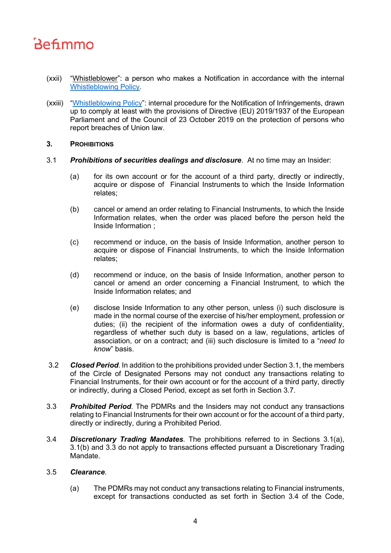# Befimmo

- (xxii) "Whistleblower": a person who makes a Notification in accordance with the internal [Whistleblowing Policy.](https://www.befimmo.be/sites/default/files/gbl_quicklinks/2022.02.16_whistleblowing_policy_eng_final.pdf)
- (xxiii) ["Whistleblowing Policy"](https://www.befimmo.be/sites/default/files/gbl_quicklinks/2022.02.16_whistleblowing_policy_eng_final.pdf): internal procedure for the Notification of Infringements, drawn up to comply at least with the provisions of Directive (EU) 2019/1937 of the European Parliament and of the Council of 23 October 2019 on the protection of persons who report breaches of Union law.

### **3. PROHIBITIONS**

- 3.1 *Prohibitions of securities dealings and disclosure*. At no time may an Insider:
	- (a) for its own account or for the account of a third party, directly or indirectly, acquire or dispose of Financial Instruments to which the Inside Information relates;
	- (b) cancel or amend an order relating to Financial Instruments, to which the Inside Information relates, when the order was placed before the person held the Inside Information ;
	- (c) recommend or induce, on the basis of Inside Information, another person to acquire or dispose of Financial Instruments, to which the Inside Information relates;
	- (d) recommend or induce, on the basis of Inside Information, another person to cancel or amend an order concerning a Financial Instrument, to which the Inside Information relates; and
	- (e) disclose Inside Information to any other person, unless (i) such disclosure is made in the normal course of the exercise of his/her employment, profession or duties; (ii) the recipient of the information owes a duty of confidentiality, regardless of whether such duty is based on a law, regulations, articles of association, or on a contract; and (iii) such disclosure is limited to a "*need to know*" basis.
- 3.2 *Closed Period*. In addition to the prohibitions provided under Section 3.1, the members of the Circle of Designated Persons may not conduct any transactions relating to Financial Instruments, for their own account or for the account of a third party, directly or indirectly, during a Closed Period, except as set forth in Section 3.7.
- 3.3 *Prohibited Period*. The PDMRs and the Insiders may not conduct any transactions relating to Financial Instruments for their own account or for the account of a third party, directly or indirectly, during a Prohibited Period.
- 3.4 *Discretionary Trading Mandates*. The prohibitions referred to in Sections 3.1(a), 3.1(b) and 3.3 do not apply to transactions effected pursuant a Discretionary Trading Mandate.

# 3.5 *Clearance*.

(a) The PDMRs may not conduct any transactions relating to Financial instruments, except for transactions conducted as set forth in Section 3.4 of the Code,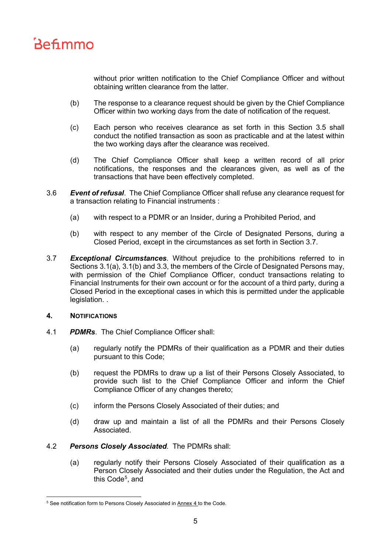

without prior written notification to the Chief Compliance Officer and without obtaining written clearance from the latter.

- (b) The response to a clearance request should be given by the Chief Compliance Officer within two working days from the date of notification of the request.
- (c) Each person who receives clearance as set forth in this Section 3.5 shall conduct the notified transaction as soon as practicable and at the latest within the two working days after the clearance was received.
- (d) The Chief Compliance Officer shall keep a written record of all prior notifications, the responses and the clearances given, as well as of the transactions that have been effectively completed.
- 3.6 *Event of refusal*. The Chief Compliance Officer shall refuse any clearance request for a transaction relating to Financial instruments :
	- (a) with respect to a PDMR or an Insider, during a Prohibited Period, and
	- (b) with respect to any member of the Circle of Designated Persons, during a Closed Period, except in the circumstances as set forth in Section 3.7.
- 3.7 *Exceptional Circumstances*. Without prejudice to the prohibitions referred to in Sections 3.1(a), 3.1(b) and 3.3, the members of the Circle of Designated Persons may, with permission of the Chief Compliance Officer, conduct transactions relating to Financial Instruments for their own account or for the account of a third party, during a Closed Period in the exceptional cases in which this is permitted under the applicable legislation. .

#### **4. NOTIFICATIONS**

- 4.1 *PDMRs*. The Chief Compliance Officer shall:
	- (a) regularly notify the PDMRs of their qualification as a PDMR and their duties pursuant to this Code;
	- (b) request the PDMRs to draw up a list of their Persons Closely Associated, to provide such list to the Chief Compliance Officer and inform the Chief Compliance Officer of any changes thereto;
	- (c) inform the Persons Closely Associated of their duties; and
	- (d) draw up and maintain a list of all the PDMRs and their Persons Closely Associated.
- 4.2 *Persons Closely Associated*. The PDMRs shall:
	- (a) regularly notify their Persons Closely Associated of their qualification as a Person Closely Associated and their duties under the Regulation, the Act and this Code<sup>[5](#page-4-0)</sup>, and

<span id="page-4-0"></span><sup>&</sup>lt;sup>5</sup> See notification form to Persons Closely Associated in Annex 4 to the Code.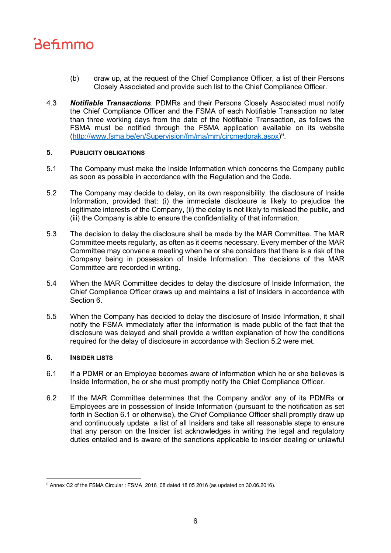

- (b) draw up, at the request of the Chief Compliance Officer, a list of their Persons Closely Associated and provide such list to the Chief Compliance Officer.
- 4.3 *Notifiable Transactions*. PDMRs and their Persons Closely Associated must notify the Chief Compliance Officer and the FSMA of each Notifiable Transaction no later than three working days from the date of the Notifiable Transaction, as follows the FSMA must be notified through the FSMA application available on its website [\(http://www.fsma.be/en/Supervision/fm/ma/mm/circmedprak.aspx\)](http://www.fsma.be/en/Supervision/fm/ma/mm/circmedprak.aspx)[6](#page-5-0) .

#### **5. PUBLICITY OBLIGATIONS**

- 5.1 The Company must make the Inside Information which concerns the Company public as soon as possible in accordance with the Regulation and the Code.
- 5.2 The Company may decide to delay, on its own responsibility, the disclosure of Inside Information, provided that: (i) the immediate disclosure is likely to prejudice the legitimate interests of the Company, (ii) the delay is not likely to mislead the public, and (iii) the Company is able to ensure the confidentiality of that information.
- 5.3 The decision to delay the disclosure shall be made by the MAR Committee. The MAR Committee meets regularly, as often as it deems necessary. Every member of the MAR Committee may convene a meeting when he or she considers that there is a risk of the Company being in possession of Inside Information. The decisions of the MAR Committee are recorded in writing.
- 5.4 When the MAR Committee decides to delay the disclosure of Inside Information, the Chief Compliance Officer draws up and maintains a list of Insiders in accordance with Section 6.
- 5.5 When the Company has decided to delay the disclosure of Inside Information, it shall notify the FSMA immediately after the information is made public of the fact that the disclosure was delayed and shall provide a written explanation of how the conditions required for the delay of disclosure in accordance with Section 5.2 were met.

## **6. INSIDER LISTS**

- 6.1 If a PDMR or an Employee becomes aware of information which he or she believes is Inside Information, he or she must promptly notify the Chief Compliance Officer.
- 6.2 If the MAR Committee determines that the Company and/or any of its PDMRs or Employees are in possession of Inside Information (pursuant to the notification as set forth in Section 6.1 or otherwise), the Chief Compliance Officer shall promptly draw up and continuously update a list of all Insiders and take all reasonable steps to ensure that any person on the Insider list acknowledges in writing the legal and regulatory duties entailed and is aware of the sanctions applicable to insider dealing or unlawful

<span id="page-5-0"></span> $6$  Annex C2 of the FSMA Circular : FSMA 2016 08 dated 18 05 2016 (as updated on 30.06.2016).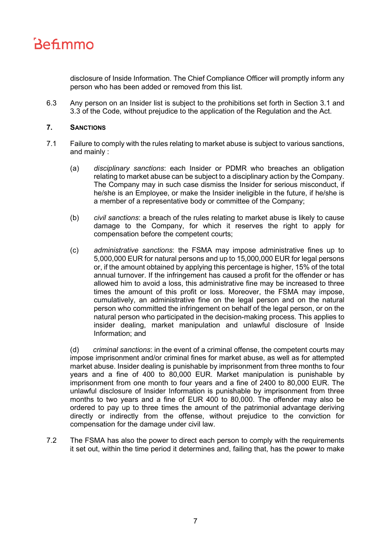

disclosure of Inside Information. The Chief Compliance Officer will promptly inform any person who has been added or removed from this list.

6.3 Any person on an Insider list is subject to the prohibitions set forth in Section 3.1 and 3.3 of the Code, without prejudice to the application of the Regulation and the Act.

### **7. SANCTIONS**

- 7.1 Failure to comply with the rules relating to market abuse is subject to various sanctions, and mainly :
	- (a) *disciplinary sanctions*: each Insider or PDMR who breaches an obligation relating to market abuse can be subject to a disciplinary action by the Company. The Company may in such case dismiss the Insider for serious misconduct, if he/she is an Employee, or make the Insider ineligible in the future, if he/she is a member of a representative body or committee of the Company;
	- (b) *civil sanctions*: a breach of the rules relating to market abuse is likely to cause damage to the Company, for which it reserves the right to apply for compensation before the competent courts;
	- (c) *administrative sanctions*: the FSMA may impose administrative fines up to 5,000,000 EUR for natural persons and up to 15,000,000 EUR for legal persons or, if the amount obtained by applying this percentage is higher, 15% of the total annual turnover. If the infringement has caused a profit for the offender or has allowed him to avoid a loss, this administrative fine may be increased to three times the amount of this profit or loss. Moreover, the FSMA may impose, cumulatively, an administrative fine on the legal person and on the natural person who committed the infringement on behalf of the legal person, or on the natural person who participated in the decision-making process. This applies to insider dealing, market manipulation and unlawful disclosure of Inside Information; and

(d) *criminal sanctions*: in the event of a criminal offense, the competent courts may impose imprisonment and/or criminal fines for market abuse, as well as for attempted market abuse. Insider dealing is punishable by imprisonment from three months to four years and a fine of 400 to 80,000 EUR. Market manipulation is punishable by imprisonment from one month to four years and a fine of 2400 to 80,000 EUR. The unlawful disclosure of Insider Information is punishable by imprisonment from three months to two years and a fine of EUR 400 to 80,000. The offender may also be ordered to pay up to three times the amount of the patrimonial advantage deriving directly or indirectly from the offense, without prejudice to the conviction for compensation for the damage under civil law.

7.2 The FSMA has also the power to direct each person to comply with the requirements it set out, within the time period it determines and, failing that, has the power to make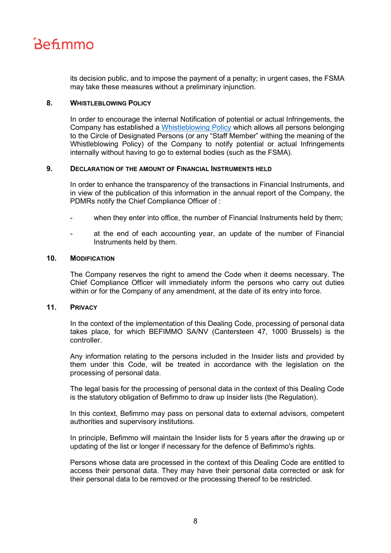

its decision public, and to impose the payment of a penalty; in urgent cases, the FSMA may take these measures without a preliminary injunction.

#### **8. WHISTLEBLOWING POLICY**

In order to encourage the internal Notification of potential or actual Infringements, the Company has established a [Whistleblowing Policy](https://www.befimmo.be/sites/default/files/gbl_quicklinks/2022.02.16_whistleblowing_policy_eng_final.pdf) which allows all persons belonging to the Circle of Designated Persons (or any "Staff Member" withing the meaning of the Whistleblowing Policy) of the Company to notify potential or actual Infringements internally without having to go to external bodies (such as the FSMA).

#### **9. DECLARATION OF THE AMOUNT OF FINANCIAL INSTRUMENTS HELD**

In order to enhance the transparency of the transactions in Financial Instruments, and in view of the publication of this information in the annual report of the Company, the PDMRs notify the Chief Compliance Officer of :

- when they enter into office, the number of Financial Instruments held by them;
- at the end of each accounting year, an update of the number of Financial Instruments held by them.

#### **10. MODIFICATION**

The Company reserves the right to amend the Code when it deems necessary. The Chief Compliance Officer will immediately inform the persons who carry out duties within or for the Company of any amendment, at the date of its entry into force.

## **11. PRIVACY**

In the context of the implementation of this Dealing Code, processing of personal data takes place, for which BEFIMMO SA/NV (Cantersteen 47, 1000 Brussels) is the controller.

Any information relating to the persons included in the Insider lists and provided by them under this Code, will be treated in accordance with the legislation on the processing of personal data.

The legal basis for the processing of personal data in the context of this Dealing Code is the statutory obligation of Befimmo to draw up Insider lists (the Regulation).

In this context, Befimmo may pass on personal data to external advisors, competent authorities and supervisory institutions.

In principle, Befimmo will maintain the Insider lists for 5 years after the drawing up or updating of the list or longer if necessary for the defence of Befimmo's rights.

Persons whose data are processed in the context of this Dealing Code are entitled to access their personal data. They may have their personal data corrected or ask for their personal data to be removed or the processing thereof to be restricted.